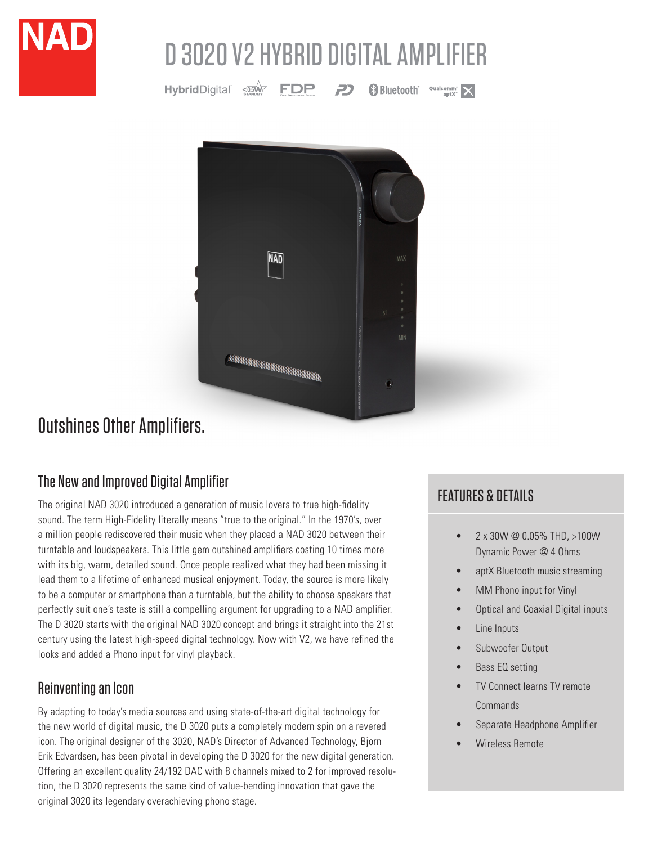

# D 3020 V2 HYBRID DIGITAL AMPLIFIER

HybridDigital <asw FDP **Bluetooth Qualcomm**  $\times$ 2



## Outshines Other Amplifiers.

### The New and Improved Digital Amplifier

The original NAD 3020 introduced a generation of music lovers to true high-fidelity sound. The term High-Fidelity literally means "true to the original." In the 1970's, over a million people rediscovered their music when they placed a NAD 3020 between their turntable and loudspeakers. This little gem outshined amplifiers costing 10 times more with its big, warm, detailed sound. Once people realized what they had been missing it lead them to a lifetime of enhanced musical enjoyment. Today, the source is more likely to be a computer or smartphone than a turntable, but the ability to choose speakers that perfectly suit one's taste is still a compelling argument for upgrading to a NAD amplifier. The D 3020 starts with the original NAD 3020 concept and brings it straight into the 21st century using the latest high-speed digital technology. Now with V2, we have refined the looks and added a Phono input for vinyl playback.

### Reinventing an Icon

By adapting to today's media sources and using state-of-the-art digital technology for the new world of digital music, the D 3020 puts a completely modern spin on a revered icon. The original designer of the 3020, NAD's Director of Advanced Technology, Bjorn Erik Edvardsen, has been pivotal in developing the D 3020 for the new digital generation. Offering an excellent quality 24/192 DAC with 8 channels mixed to 2 for improved resolution, the D 3020 represents the same kind of value-bending innovation that gave the original 3020 its legendary overachieving phono stage.

## FEATURES & DETAILS

- 2 x 30W @ 0.05% THD, >100W Dynamic Power @ 4 Ohms
- aptX Bluetooth music streaming
- MM Phono input for Vinyl
- Optical and Coaxial Digital inputs
- Line Inputs
- Subwoofer Output
- Bass EQ setting
- TV Connect learns TV remote Commands
- Separate Headphone Amplifier
- Wireless Remote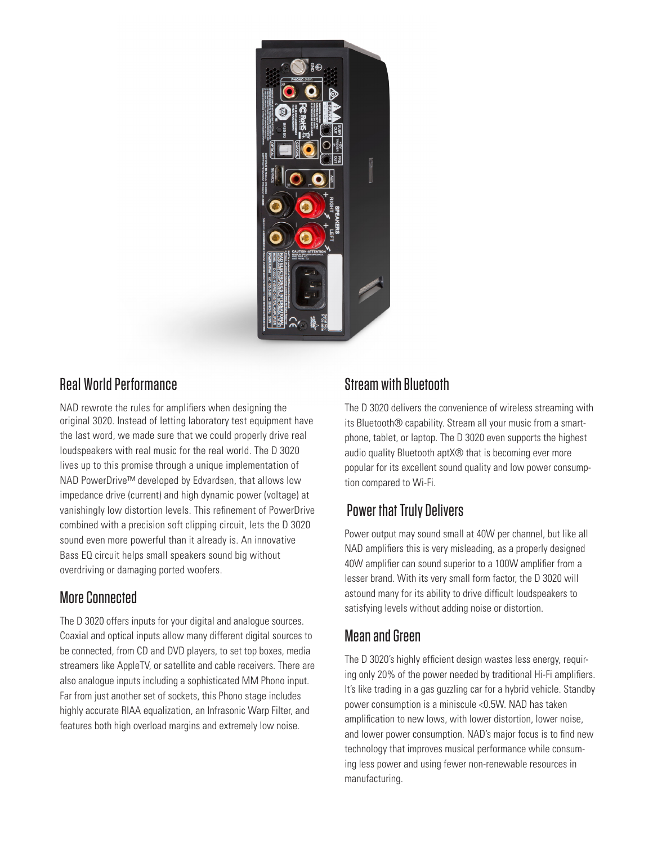

#### Real World Performance

NAD rewrote the rules for amplifiers when designing the original 3020. Instead of letting laboratory test equipment have the last word, we made sure that we could properly drive real loudspeakers with real music for the real world. The D 3020 lives up to this promise through a unique implementation of NAD PowerDrive™ developed by Edvardsen, that allows low impedance drive (current) and high dynamic power (voltage) at vanishingly low distortion levels. This refinement of PowerDrive combined with a precision soft clipping circuit, lets the D 3020 sound even more powerful than it already is. An innovative Bass EQ circuit helps small speakers sound big without overdriving or damaging ported woofers.

#### More Connected

The D 3020 offers inputs for your digital and analogue sources. Coaxial and optical inputs allow many different digital sources to be connected, from CD and DVD players, to set top boxes, media streamers like AppleTV, or satellite and cable receivers. There are also analogue inputs including a sophisticated MM Phono input. Far from just another set of sockets, this Phono stage includes highly accurate RIAA equalization, an Infrasonic Warp Filter, and features both high overload margins and extremely low noise.

#### Stream with Bluetooth

The D 3020 delivers the convenience of wireless streaming with its Bluetooth® capability. Stream all your music from a smartphone, tablet, or laptop. The D 3020 even supports the highest audio quality Bluetooth aptX® that is becoming ever more popular for its excellent sound quality and low power consumption compared to Wi-Fi.

### Power that Truly Delivers

Power output may sound small at 40W per channel, but like all NAD amplifiers this is very misleading, as a properly designed 40W amplifier can sound superior to a 100W amplifier from a lesser brand. With its very small form factor, the D 3020 will astound many for its ability to drive difficult loudspeakers to satisfying levels without adding noise or distortion.

#### Mean and Green

The D 3020's highly efficient design wastes less energy, requiring only 20% of the power needed by traditional Hi-Fi amplifiers. It's like trading in a gas guzzling car for a hybrid vehicle. Standby power consumption is a miniscule <0.5W. NAD has taken amplification to new lows, with lower distortion, lower noise, and lower power consumption. NAD's major focus is to find new technology that improves musical performance while consuming less power and using fewer non-renewable resources in manufacturing.